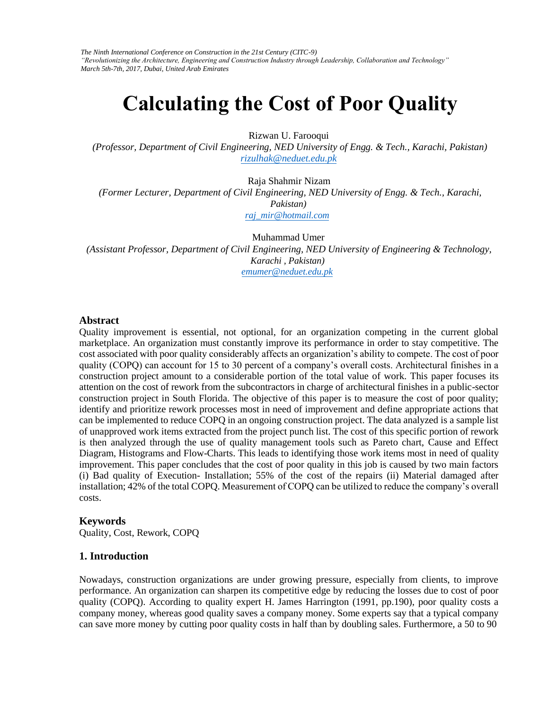*The Ninth International Conference on Construction in the 21st Century (CITC-9) "Revolutionizing the Architecture, Engineering and Construction Industry through Leadership, Collaboration and Technology" March 5th-7th, 2017, Dubai, United Arab Emirates* 

# **Calculating the Cost of Poor Quality**

Rizwan U. Farooqui

*(Professor, Department of Civil Engineering, NED University of Engg. & Tech., Karachi, Pakistan) [rizulhak@neduet.edu.pk](mailto:rizulhak@neduet.edu.pk)*

Raja Shahmir Nizam *(Former Lecturer, Department of Civil Engineering, NED University of Engg. & Tech., Karachi, Pakistan) [raj\\_mir@hotmail.com](mailto:raj_mir@hotmail.com)*

Muhammad Umer *(Assistant Professor, Department of Civil Engineering, NED University of Engineering & Technology, Karachi , Pakistan) [emumer@neduet.edu.pk](mailto:emumer@neduet.edu.pk)*

#### **Abstract**

Quality improvement is essential, not optional, for an organization competing in the current global marketplace. An organization must constantly improve its performance in order to stay competitive. The cost associated with poor quality considerably affects an organization's ability to compete. The cost of poor quality (COPQ) can account for 15 to 30 percent of a company's overall costs. Architectural finishes in a construction project amount to a considerable portion of the total value of work. This paper focuses its attention on the cost of rework from the subcontractors in charge of architectural finishes in a public-sector construction project in South Florida. The objective of this paper is to measure the cost of poor quality; identify and prioritize rework processes most in need of improvement and define appropriate actions that can be implemented to reduce COPQ in an ongoing construction project. The data analyzed is a sample list of unapproved work items extracted from the project punch list. The cost of this specific portion of rework is then analyzed through the use of quality management tools such as Pareto chart, Cause and Effect Diagram, Histograms and Flow-Charts. This leads to identifying those work items most in need of quality improvement. This paper concludes that the cost of poor quality in this job is caused by two main factors (i) Bad quality of Execution- Installation; 55% of the cost of the repairs (ii) Material damaged after installation; 42% of the total COPQ. Measurement of COPQ can be utilized to reduce the company's overall costs.

#### **Keywords**

Quality, Cost, Rework, COPQ

#### **1. Introduction**

Nowadays, construction organizations are under growing pressure, especially from clients, to improve performance. An organization can sharpen its competitive edge by reducing the losses due to cost of poor quality (COPQ). According to quality expert H. James Harrington (1991, pp.190), poor quality costs a company money, whereas good quality saves a company money. Some experts say that a typical company can save more money by cutting poor quality costs in half than by doubling sales. Furthermore, a 50 to 90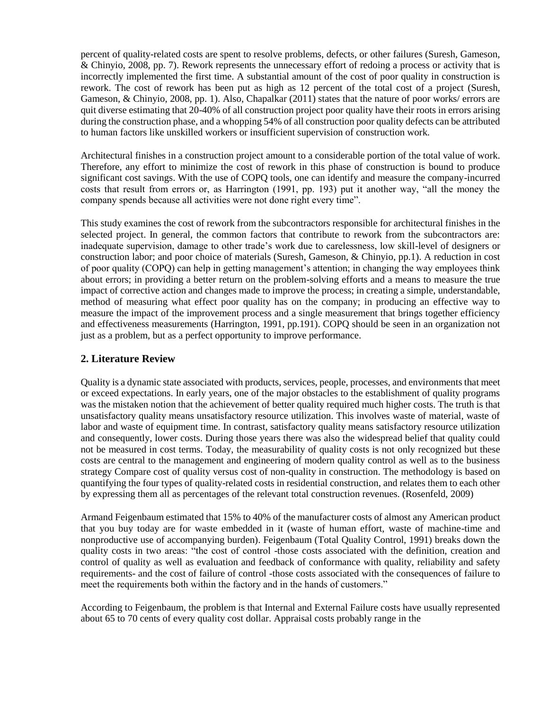percent of quality-related costs are spent to resolve problems, defects, or other failures (Suresh, Gameson, & Chinyio, 2008, pp. 7). Rework represents the unnecessary effort of redoing a process or activity that is incorrectly implemented the first time. A substantial amount of the cost of poor quality in construction is rework. The cost of rework has been put as high as 12 percent of the total cost of a project (Suresh, Gameson, & Chinyio, 2008, pp. 1). Also, Chapalkar (2011) states that the nature of poor works/ errors are quit diverse estimating that 20-40% of all construction project poor quality have their roots in errors arising during the construction phase, and a whopping 54% of all construction poor quality defects can be attributed to human factors like unskilled workers or insufficient supervision of construction work.

Architectural finishes in a construction project amount to a considerable portion of the total value of work. Therefore, any effort to minimize the cost of rework in this phase of construction is bound to produce significant cost savings. With the use of COPQ tools, one can identify and measure the company-incurred costs that result from errors or, as Harrington (1991, pp. 193) put it another way, "all the money the company spends because all activities were not done right every time".

This study examines the cost of rework from the subcontractors responsible for architectural finishes in the selected project. In general, the common factors that contribute to rework from the subcontractors are: inadequate supervision, damage to other trade's work due to carelessness, low skill-level of designers or construction labor; and poor choice of materials (Suresh, Gameson, & Chinyio, pp.1). A reduction in cost of poor quality (COPQ) can help in getting management's attention; in changing the way employees think about errors; in providing a better return on the problem-solving efforts and a means to measure the true impact of corrective action and changes made to improve the process; in creating a simple, understandable, method of measuring what effect poor quality has on the company; in producing an effective way to measure the impact of the improvement process and a single measurement that brings together efficiency and effectiveness measurements (Harrington, 1991, pp.191). COPQ should be seen in an organization not just as a problem, but as a perfect opportunity to improve performance.

## **2. Literature Review**

Quality is a dynamic state associated with products, services, people, processes, and environments that meet or exceed expectations. In early years, one of the major obstacles to the establishment of quality programs was the mistaken notion that the achievement of better quality required much higher costs. The truth is that unsatisfactory quality means unsatisfactory resource utilization. This involves waste of material, waste of labor and waste of equipment time. In contrast, satisfactory quality means satisfactory resource utilization and consequently, lower costs. During those years there was also the widespread belief that quality could not be measured in cost terms. Today, the measurability of quality costs is not only recognized but these costs are central to the management and engineering of modern quality control as well as to the business strategy Compare cost of quality versus cost of non-quality in construction. The methodology is based on quantifying the four types of quality-related costs in residential construction, and relates them to each other by expressing them all as percentages of the relevant total construction revenues. (Rosenfeld, 2009)

Armand Feigenbaum estimated that 15% to 40% of the manufacturer costs of almost any American product that you buy today are for waste embedded in it (waste of human effort, waste of machine-time and nonproductive use of accompanying burden). Feigenbaum (Total Quality Control, 1991) breaks down the quality costs in two areas: "the cost of control -those costs associated with the definition, creation and control of quality as well as evaluation and feedback of conformance with quality, reliability and safety requirements- and the cost of failure of control -those costs associated with the consequences of failure to meet the requirements both within the factory and in the hands of customers."

According to Feigenbaum, the problem is that Internal and External Failure costs have usually represented about 65 to 70 cents of every quality cost dollar. Appraisal costs probably range in the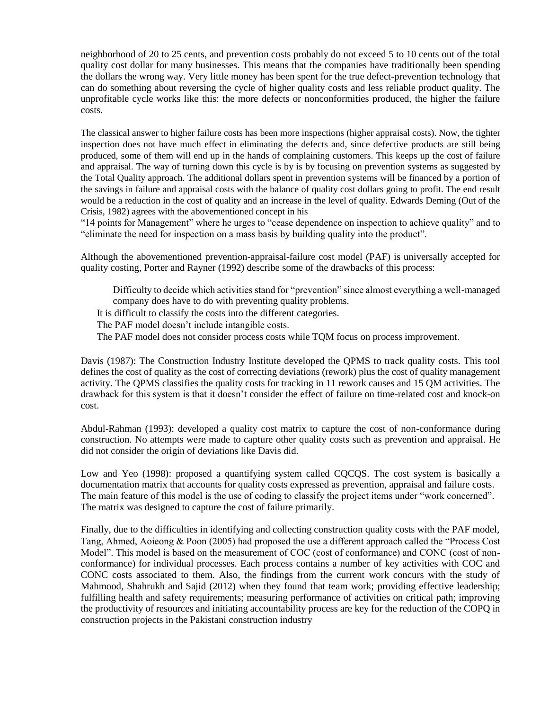neighborhood of 20 to 25 cents, and prevention costs probably do not exceed 5 to 10 cents out of the total quality cost dollar for many businesses. This means that the companies have traditionally been spending the dollars the wrong way. Very little money has been spent for the true defect-prevention technology that can do something about reversing the cycle of higher quality costs and less reliable product quality. The unprofitable cycle works like this: the more defects or nonconformities produced, the higher the failure costs.

The classical answer to higher failure costs has been more inspections (higher appraisal costs). Now, the tighter inspection does not have much effect in eliminating the defects and, since defective products are still being produced, some of them will end up in the hands of complaining customers. This keeps up the cost of failure and appraisal. The way of turning down this cycle is by is by focusing on prevention systems as suggested by the Total Quality approach. The additional dollars spent in prevention systems will be financed by a portion of the savings in failure and appraisal costs with the balance of quality cost dollars going to profit. The end result would be a reduction in the cost of quality and an increase in the level of quality. Edwards Deming (Out of the Crisis, 1982) agrees with the abovementioned concept in his

"14 points for Management" where he urges to "cease dependence on inspection to achieve quality" and to "eliminate the need for inspection on a mass basis by building quality into the product".

Although the abovementioned prevention-appraisal-failure cost model (PAF) is universally accepted for quality costing, Porter and Rayner (1992) describe some of the drawbacks of this process:

Difficulty to decide which activities stand for "prevention" since almost everything a well-managed company does have to do with preventing quality problems.

It is difficult to classify the costs into the different categories.

The PAF model doesn't include intangible costs.

The PAF model does not consider process costs while TQM focus on process improvement.

Davis (1987): The Construction Industry Institute developed the QPMS to track quality costs. This tool defines the cost of quality as the cost of correcting deviations (rework) plus the cost of quality management activity. The QPMS classifies the quality costs for tracking in 11 rework causes and 15 QM activities. The drawback for this system is that it doesn't consider the effect of failure on time-related cost and knock-on cost.

Abdul-Rahman (1993): developed a quality cost matrix to capture the cost of non-conformance during construction. No attempts were made to capture other quality costs such as prevention and appraisal. He did not consider the origin of deviations like Davis did.

Low and Yeo (1998): proposed a quantifying system called CQCQS. The cost system is basically a documentation matrix that accounts for quality costs expressed as prevention, appraisal and failure costs. The main feature of this model is the use of coding to classify the project items under "work concerned". The matrix was designed to capture the cost of failure primarily.

Finally, due to the difficulties in identifying and collecting construction quality costs with the PAF model, Tang, Ahmed, Aoieong & Poon (2005) had proposed the use a different approach called the "Process Cost Model". This model is based on the measurement of COC (cost of conformance) and CONC (cost of nonconformance) for individual processes. Each process contains a number of key activities with COC and CONC costs associated to them. Also, the findings from the current work concurs with the study of Mahmood, Shahrukh and Sajid (2012) when they found that team work; providing effective leadership; fulfilling health and safety requirements; measuring performance of activities on critical path; improving the productivity of resources and initiating accountability process are key for the reduction of the COPQ in construction projects in the Pakistani construction industry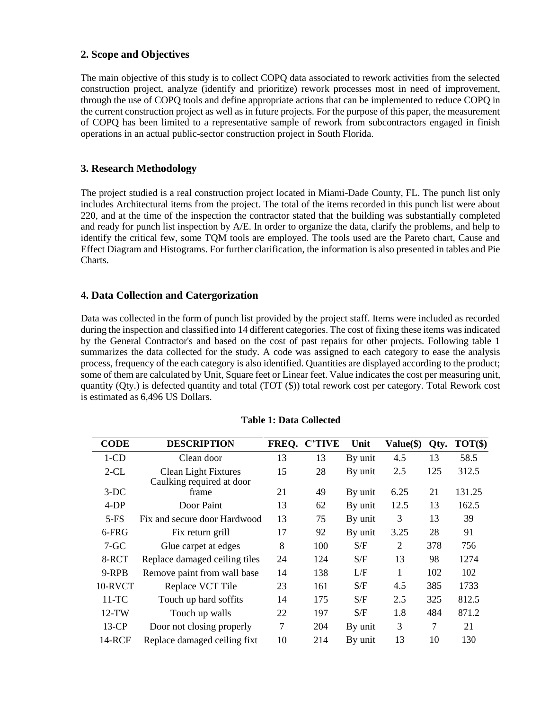## **2. Scope and Objectives**

The main objective of this study is to collect COPQ data associated to rework activities from the selected construction project, analyze (identify and prioritize) rework processes most in need of improvement, through the use of COPQ tools and define appropriate actions that can be implemented to reduce COPQ in the current construction project as well as in future projects. For the purpose of this paper, the measurement of COPQ has been limited to a representative sample of rework from subcontractors engaged in finish operations in an actual public-sector construction project in South Florida.

# **3. Research Methodology**

The project studied is a real construction project located in Miami-Dade County, FL. The punch list only includes Architectural items from the project. The total of the items recorded in this punch list were about 220, and at the time of the inspection the contractor stated that the building was substantially completed and ready for punch list inspection by A/E. In order to organize the data, clarify the problems, and help to identify the critical few, some TQM tools are employed. The tools used are the Pareto chart, Cause and Effect Diagram and Histograms. For further clarification, the information is also presented in tables and Pie Charts.

## **4. Data Collection and Catergorization**

Data was collected in the form of punch list provided by the project staff. Items were included as recorded during the inspection and classified into 14 different categories. The cost of fixing these items was indicated by the General Contractor's and based on the cost of past repairs for other projects. Following table 1 summarizes the data collected for the study. A code was assigned to each category to ease the analysis process, frequency of the each category is also identified. Quantities are displayed according to the product; some of them are calculated by Unit, Square feet or Linear feet. Value indicates the cost per measuring unit, quantity (Qty.) is defected quantity and total (TOT (\$)) total rework cost per category. Total Rework cost is estimated as 6,496 US Dollars.

| <b>CODE</b>   | <b>DESCRIPTION</b>                                       | FREQ. | <b>C'TIVE</b> | Unit    | Value(\$) | Qty. | $TOT($\})$ |
|---------------|----------------------------------------------------------|-------|---------------|---------|-----------|------|------------|
| $1$ -CD       | Clean door                                               | 13    | 13            | By unit | 4.5       | 13   | 58.5       |
| $2-CL$        | <b>Clean Light Fixtures</b><br>Caulking required at door | 15    | 28            | By unit | 2.5       | 125  | 312.5      |
| $3-DC$        | frame                                                    | 21    | 49            | By unit | 6.25      | 21   | 131.25     |
| 4-DP          | Door Paint                                               | 13    | 62            | By unit | 12.5      | 13   | 162.5      |
| $5-FS$        | Fix and secure door Hardwood                             | 13    | 75            | By unit | 3         | 13   | 39         |
| 6-FRG         | Fix return grill                                         | 17    | 92            | By unit | 3.25      | 28   | 91         |
| $7 - GC$      | Glue carpet at edges                                     | 8     | 100           | S/F     | 2         | 378  | 756        |
| 8-RCT         | Replace damaged ceiling tiles                            | 24    | 124           | S/F     | 13        | 98   | 1274       |
| 9-RPB         | Remove paint from wall base                              | 14    | 138           | L/F     | 1         | 102  | 102        |
| 10-RVCT       | Replace VCT Tile                                         | 23    | 161           | S/F     | 4.5       | 385  | 1733       |
| $11-TC$       | Touch up hard soffits                                    | 14    | 175           | S/F     | 2.5       | 325  | 812.5      |
| $12-TW$       | Touch up walls                                           | 22    | 197           | S/F     | 1.8       | 484  | 871.2      |
| $13$ -CP      | Door not closing properly                                | 7     | 204           | By unit | 3         | 7    | 21         |
| <b>14-RCF</b> | Replace damaged ceiling fixt                             | 10    | 214           | By unit | 13        | 10   | 130        |

## **Table 1: Data Collected**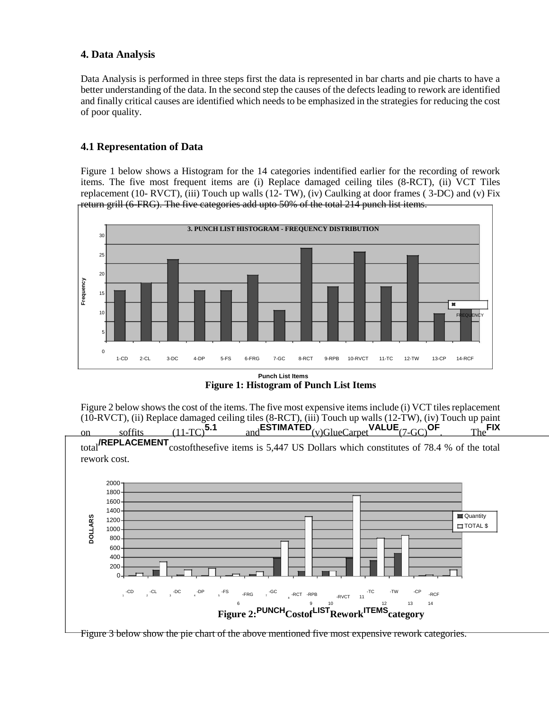# **4. Data Analysis**

Data Analysis is performed in three steps first the data is represented in bar charts and pie charts to have a better understanding of the data. In the second step the causes of the defects leading to rework are identified and finally critical causes are identified which needs to be emphasized in the strategies for reducing the cost of poor quality.

# **4.1 Representation of Data**

Figure 1 below shows a Histogram for the 14 categories indentified earlier for the recording of rework items. The five most frequent items are (i) Replace damaged ceiling tiles (8-RCT), (ii) VCT Tiles replacement (10- RVCT), (iii) Touch up walls (12- TW), (iv) Caulking at door frames (3-DC) and (v) Fix return grill (6-FRG). The five categories add upto 50% of the total 214 punch list items.



**Figure 1: Histogram of Punch List Items**

Figure 2 below shows the cost of the items. The five most expensive items include (i) VCT tiles replacement (10-RVCT), (ii) Replace damaged ceiling tiles (8-RCT), (iii) Touch up walls (12-TW), (iv) Touch up paint<br>on soffits (11-TC)  $5.1$  and ESTIMATED  $_{(v)G\text{lineCarnet}}$  VALUE  $_{(7-G\text{C})}$  OF  $_{\text{The}}$  FIX



Figure 3 below show the pie chart of the above mentioned five most expensive rework categories.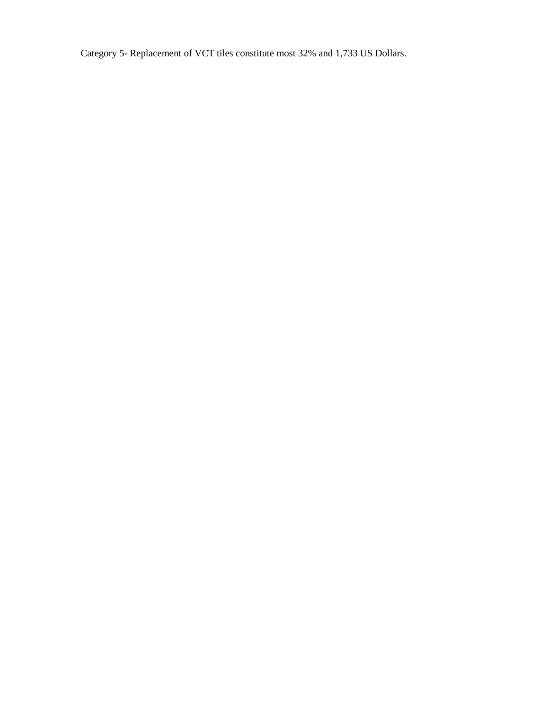Category 5- Replacement of VCT tiles constitute most 32% and 1,733 US Dollars.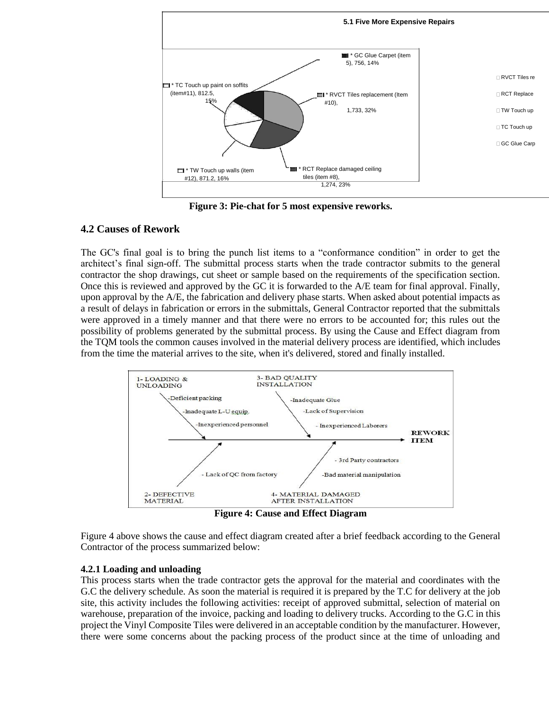

**Figure 3: Pie-chat for 5 most expensive reworks.**

## **4.2 Causes of Rework**

The GC's final goal is to bring the punch list items to a "conformance condition" in order to get the architect's final sign-off. The submittal process starts when the trade contractor submits to the general contractor the shop drawings, cut sheet or sample based on the requirements of the specification section. Once this is reviewed and approved by the GC it is forwarded to the A/E team for final approval. Finally, upon approval by the A/E, the fabrication and delivery phase starts. When asked about potential impacts as a result of delays in fabrication or errors in the submittals, General Contractor reported that the submittals were approved in a timely manner and that there were no errors to be accounted for; this rules out the possibility of problems generated by the submittal process. By using the Cause and Effect diagram from the TQM tools the common causes involved in the material delivery process are identified, which includes from the time the material arrives to the site, when it's delivered, stored and finally installed.



**Figure 4: Cause and Effect Diagram**

Figure 4 above shows the cause and effect diagram created after a brief feedback according to the General Contractor of the process summarized below:

## **4.2.1 Loading and unloading**

This process starts when the trade contractor gets the approval for the material and coordinates with the G.C the delivery schedule. As soon the material is required it is prepared by the T.C for delivery at the job site, this activity includes the following activities: receipt of approved submittal, selection of material on warehouse, preparation of the invoice, packing and loading to delivery trucks. According to the G.C in this project the Vinyl Composite Tiles were delivered in an acceptable condition by the manufacturer. However, there were some concerns about the packing process of the product since at the time of unloading and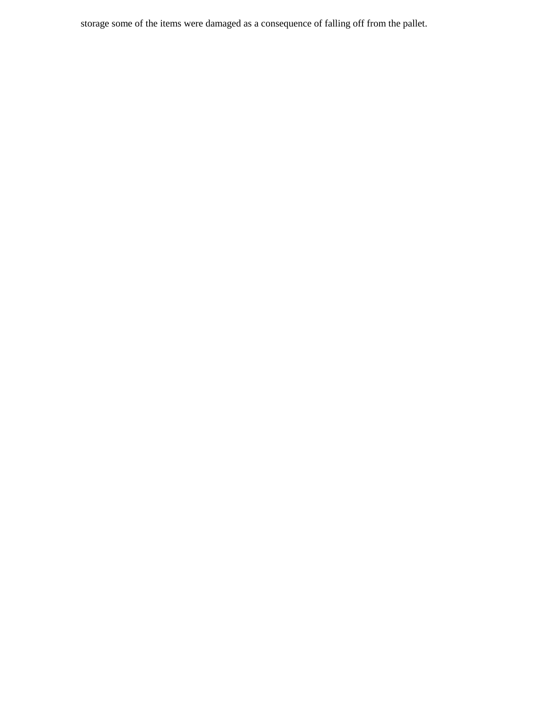storage some of the items were damaged as a consequence of falling off from the pallet.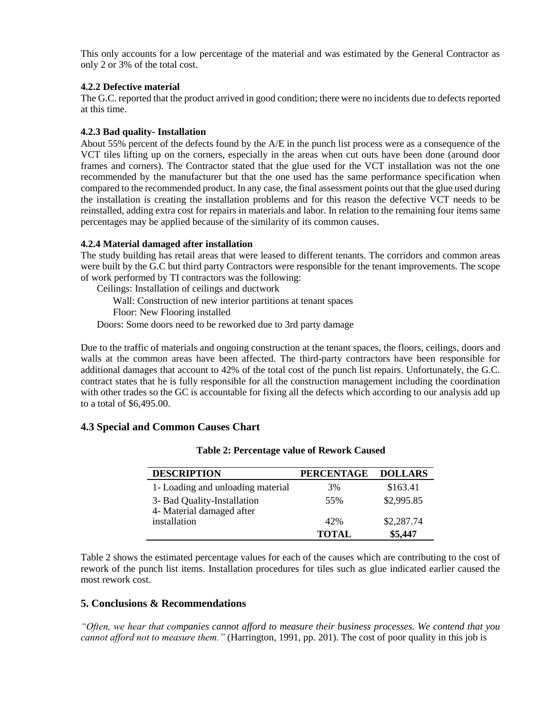This only accounts for a low percentage of the material and was estimated by the General Contractor as only 2 or 3% of the total cost.

#### **4.2.2 Defective material**

The G.C. reported that the product arrived in good condition; there were no incidents due to defects reported at this time.

#### **4.2.3 Bad quality- Installation**

About 55% percent of the defects found by the A/E in the punch list process were as a consequence of the VCT tiles lifting up on the corners, especially in the areas when cut outs have been done (around door frames and corners). The Contractor stated that the glue used for the VCT installation was not the one recommended by the manufacturer but that the one used has the same performance specification when compared to the recommended product. In any case, the final assessment points out that the glue used during the installation is creating the installation problems and for this reason the defective VCT needs to be reinstalled, adding extra cost for repairs in materials and labor. In relation to the remaining four items same percentages may be applied because of the similarity of its common causes.

## **4.2.4 Material damaged after installation**

The study building has retail areas that were leased to different tenants. The corridors and common areas were built by the G.C but third party Contractors were responsible for the tenant improvements. The scope of work performed by TI contractors was the following:

Ceilings: Installation of ceilings and ductwork

Wall: Construction of new interior partitions at tenant spaces

Floor: New Flooring installed

Doors: Some doors need to be reworked due to 3rd party damage

Due to the traffic of materials and ongoing construction at the tenant spaces, the floors, ceilings, doors and walls at the common areas have been affected. The third-party contractors have been responsible for additional damages that account to 42% of the total cost of the punch list repairs. Unfortunately, the G.C. contract states that he is fully responsible for all the construction management including the coordination with other trades so the GC is accountable for fixing all the defects which according to our analysis add up to a total of \$6,495.00.

## **4.3 Special and Common Causes Chart**

| <b>DESCRIPTION</b>                                       | <b>PERCENTAGE</b> | <b>DOLLARS</b> |
|----------------------------------------------------------|-------------------|----------------|
| 1- Loading and unloading material                        | 3%                | \$163.41       |
| 3- Bad Quality-Installation<br>4- Material damaged after | .55%              | \$2,995.85     |
| installation                                             | 42%               | \$2,287.74     |
|                                                          | <b>TOTAL</b>      | \$5,447        |

#### **Table 2: Percentage value of Rework Caused**

Table 2 shows the estimated percentage values for each of the causes which are contributing to the cost of rework of the punch list items. Installation procedures for tiles such as glue indicated earlier caused the most rework cost.

## **5. Conclusions & Recommendations**

*"Often, we hear that companies cannot afford to measure their business processes. We contend that you cannot afford not to measure them."* (Harrington, 1991, pp. 201). The cost of poor quality in this job is